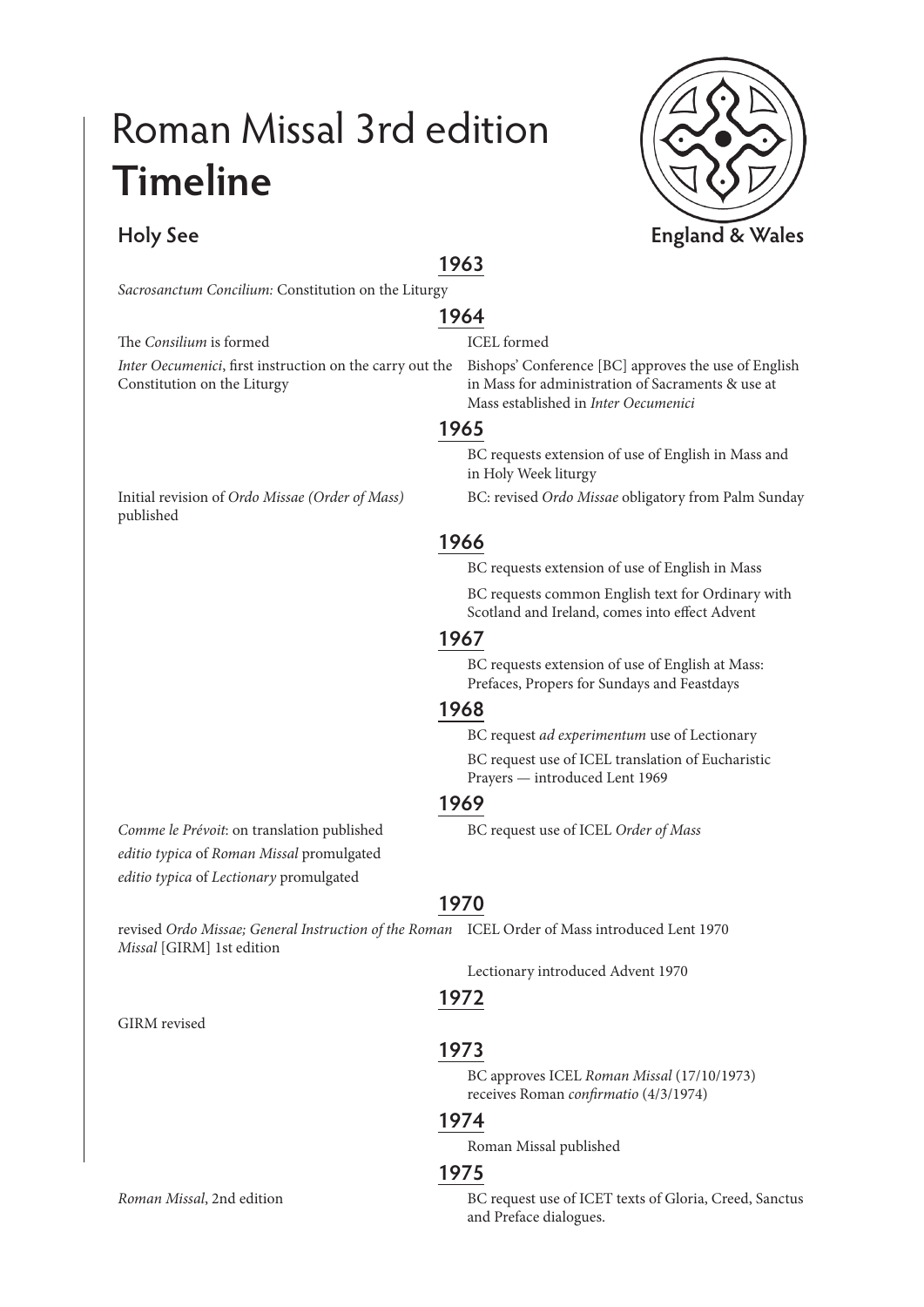## Roman Missal 3rd edition **Timeline**

**1963**

*Sacrosanctum Concilium:* Constitution on the Liturgy

*Inter Oecumenici*, first instruction on the carry out the Constitution on the Liturgy

Initial revision of *Ordo Missae (Order of Mass)*  published

*Comme le Prévoit*: on translation published BC request use of ICEL *Order of Mass editio typica* of *Roman Missal* promulgated *editio typica* of *Lectionary* promulgated

**1970**

revised *Ordo Missae; General Instruction of the Roman*  ICEL Order of Mass introduced Lent 1970 *Missal* [GIRM] 1st edition

Lectionary introduced Advent 1970

## **1972**

#### **1973**

BC approves ICEL *Roman Missal* (17/10/1973) receives Roman *confirmatio* (4/3/1974)

#### **1974**

Roman Missal published

#### **1975**

*Roman Missal*, 2nd edition BC request use of ICET texts of Gloria, Creed, Sanctus and Preface dialogues.

# **Holy See England & Wales**



#### **1964** The *Consilium* is formed ICEL formed

Bishops' Conference [BC] approves the use of English in Mass for administration of Sacraments & use at Mass established in *Inter Oecumenici*

#### **1965**

BC requests extension of use of English in Mass and in Holy Week liturgy

BC: revised *Ordo Missae* obligatory from Palm Sunday

## **1966**

BC requests extension of use of English in Mass

BC requests common English text for Ordinary with Scotland and Ireland, comes into effect Advent

#### **1967**

BC requests extension of use of English at Mass: Prefaces, Propers for Sundays and Feastdays

### **1968**

BC request *ad experimentum* use of Lectionary

BC request use of ICEL translation of Eucharistic Prayers — introduced Lent 1969

### **1969**

GIRM revised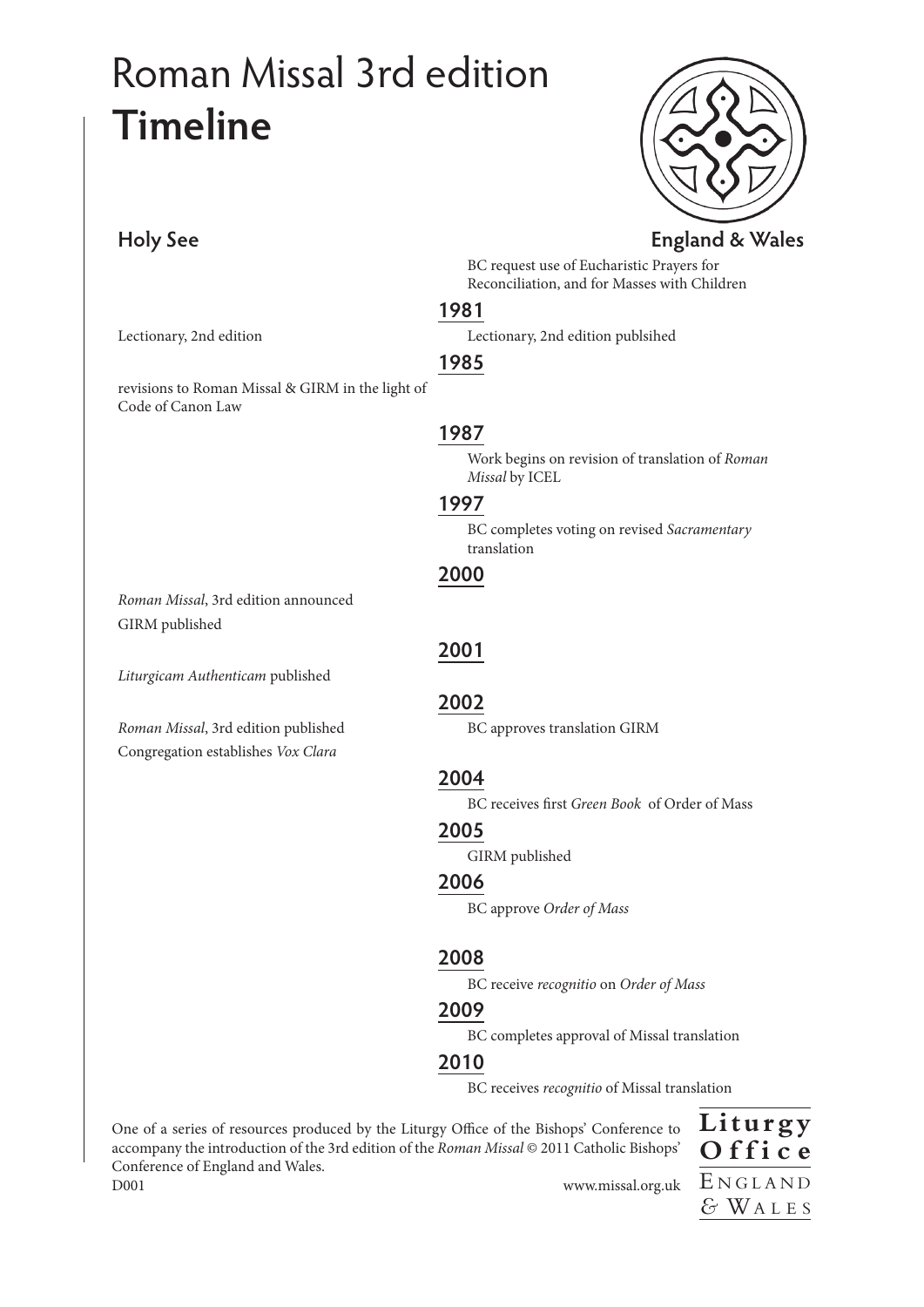# Roman Missal 3rd edition **Timeline**

Code of Canon Law

GIRM published

**Holy See England & Wales**

BC request use of Eucharistic Prayers for Reconciliation, and for Masses with Children

#### **1981**

Lectionary, 2nd edition Lectionary, 2nd edition publsihed

#### **1985**

## **1987**

Work begins on revision of translation of *Roman Missal* by ICEL

#### **1997**

BC completes voting on revised *Sacramentary* translation

*Liturgicam Authenticam* published

*Roman Missal*, 3rd edition announced

revisions to Roman Missal & GIRM in the light of

*Roman Missal*, 3rd edition published **BC** approves translation GIRM Congregation establishes *Vox Clara*

**2001**

#### **2002**

## **2004**

BC receives first *Green Book* of Order of Mass

## **2005**

GIRM published

#### **2006**

BC approve *Order of Mass*

#### **2008**

BC receive *recognitio* on *Order of Mass*

#### **2009**

BC completes approval of Missal translation

#### **2010**

BC receives *recognitio* of Missal translation

One of a series of resources produced by the Liturgy Office of the Bishops' Conference to accompany the introduction of the 3rd edition of the *Roman Missal* © 2011 Catholic Bishops' Conference of England and Wales. D001 www.missal.org.uk

**Liturgy O f f i c e** E <sup>N</sup> <sup>G</sup> <sup>L</sup> <sup>A</sup> <sup>N</sup> <sup>D</sup> *&* WA <sup>L</sup> <sup>E</sup> <sup>S</sup>





## **2000**